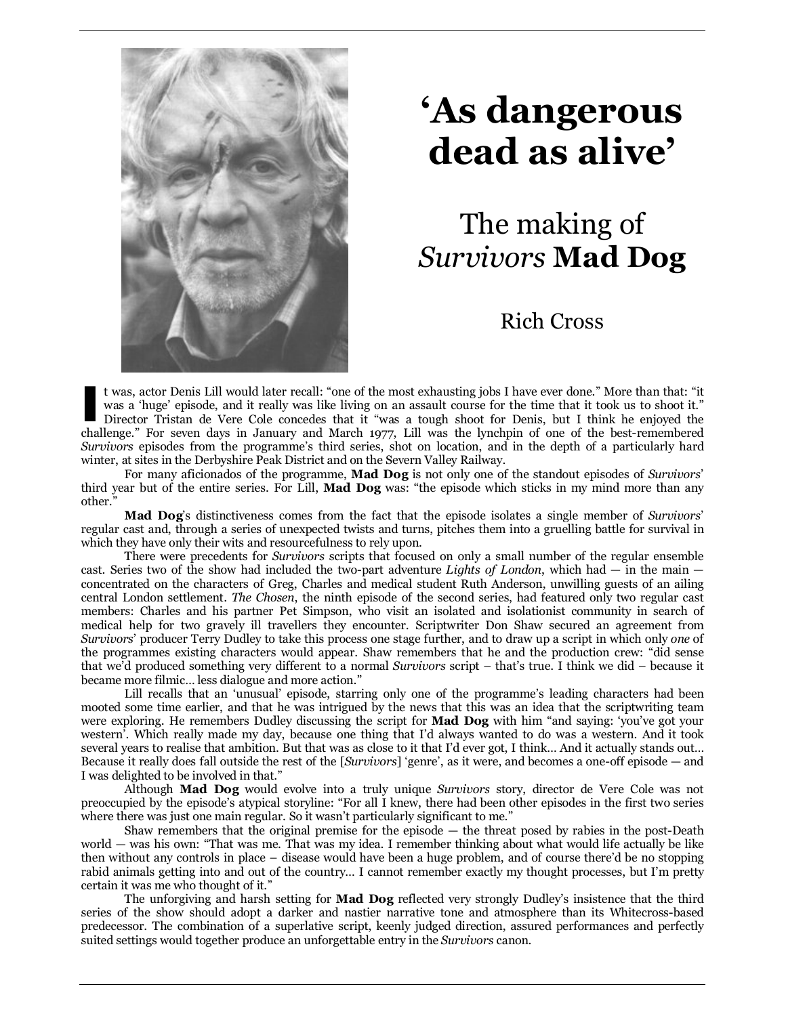

# **'As dangerous dead as alive'**

## The making of *Survivors* **Mad Dog**

## Rich Cross

t was, actor Denis Lill would later recall: "one of the most exhausting jobs I have ever done." More than that: "it was a 'huge' episode, and it really was like living on an assault course for the time that it took us to shoot it." Director Tristan de Vere Cole concedes that it "was a tough shoot for Denis, but I think he enjoyed the t was, actor Denis Lill would later recall: "one of the most exhausting jobs I have ever done." More than that: "it was a 'huge' episode, and it really was like living on an assault course for the time that it took us to s *Survivors* episodes from the programme's third series, shot on location, and in the depth of a particularly hard winter, at sites in the Derbyshire Peak District and on the Severn Valley Railway.

For many aficionados of the programme, **Mad Dog** is not only one of the standout episodes of *Survivors*' third year but of the entire series. For Lill, **Mad Dog** was: "the episode which sticks in my mind more than any other."

**Mad Dog**'s distinctiveness comes from the fact that the episode isolates a single member of *Survivors*' regular cast and, through a series of unexpected twists and turns, pitches them into a gruelling battle for survival in which they have only their wits and resourcefulness to rely upon.

There were precedents for *Survivors* scripts that focused on only a small number of the regular ensemble cast. Series two of the show had included the two-part adventure *Lights of London*, which had — in the main concentrated on the characters of Greg, Charles and medical student Ruth Anderson, unwilling guests of an ailing central London settlement. *The Chosen*, the ninth episode of the second series, had featured only two regular cast members: Charles and his partner Pet Simpson, who visit an isolated and isolationist community in search of medical help for two gravely ill travellers they encounter. Scriptwriter Don Shaw secured an agreement from *Survivors*' producer Terry Dudley to take this process one stage further, and to draw up a script in which only *one* of the programmes existing characters would appear. Shaw remembers that he and the production crew: "did sense that we'd produced something very different to a normal *Survivors* script – that's true. I think we did – because it became more filmic… less dialogue and more action."

Lill recalls that an 'unusual' episode, starring only one of the programme's leading characters had been mooted some time earlier, and that he was intrigued by the news that this was an idea that the scriptwriting team were exploring. He remembers Dudley discussing the script for **Mad Dog** with him "and saying: 'you've got your western'. Which really made my day, because one thing that I'd always wanted to do was a western. And it took several years to realise that ambition. But that was as close to it that I'd ever got, I think… And it actually stands out… Because it really does fall outside the rest of the [*Survivors*] 'genre', as it were, and becomes a one-off episode — and I was delighted to be involved in that."

Although **Mad Dog** would evolve into a truly unique *Survivors* story, director de Vere Cole was not preoccupied by the episode's atypical storyline: "For all I knew, there had been other episodes in the first two series where there was just one main regular. So it wasn't particularly significant to me."

Shaw remembers that the original premise for the episode — the threat posed by rabies in the post-Death world — was his own: "That was me. That was my idea. I remember thinking about what would life actually be like then without any controls in place – disease would have been a huge problem, and of course there'd be no stopping rabid animals getting into and out of the country… I cannot remember exactly my thought processes, but I'm pretty certain it was me who thought of it."

The unforgiving and harsh setting for **Mad Dog** reflected very strongly Dudley's insistence that the third series of the show should adopt a darker and nastier narrative tone and atmosphere than its Whitecross-based predecessor. The combination of a superlative script, keenly judged direction, assured performances and perfectly suited settings would together produce an unforgettable entry in the *Survivors* canon.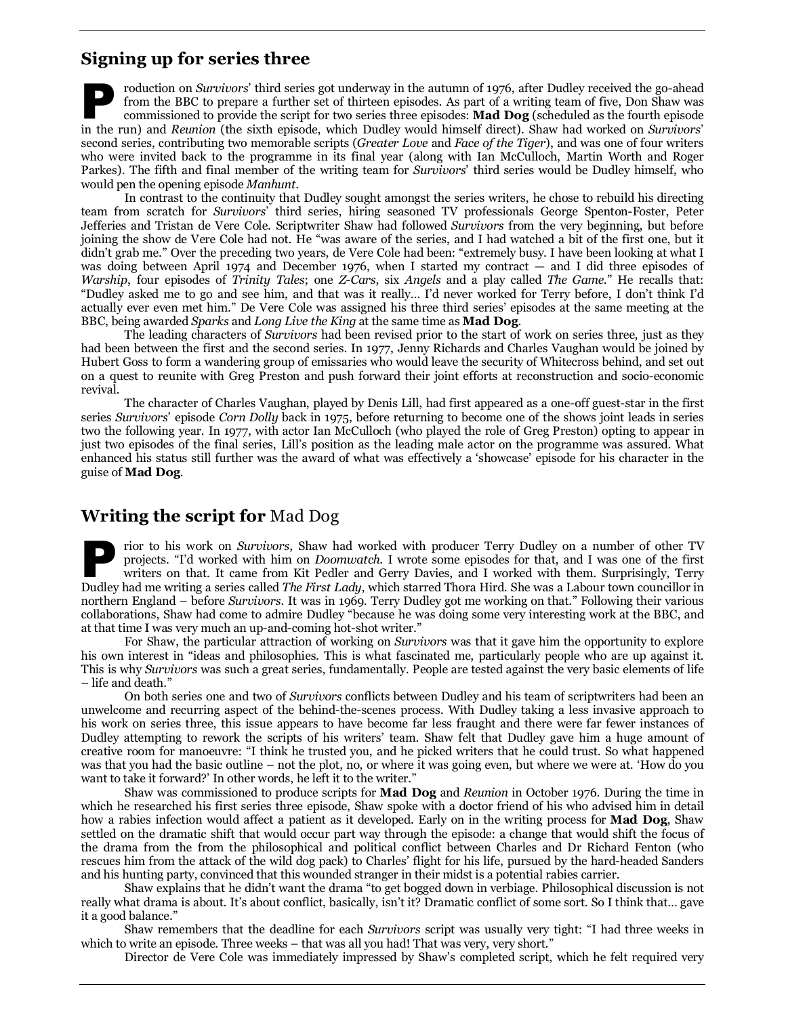## **Signing up for series three**

roduction on *Survivors*' third series got underway in the autumn of 1976, after Dudley received the go-ahead from the BBC to prepare a further set of thirteen episodes. As part of a writing team of five, Don Shaw was commissioned to provide the script for two series three episodes: **Mad Dog** (scheduled as the fourth episode From the BBC to prepare a further set of thirteen episodes. As part of a writing team of five, Don Shaw was commissioned to provide the script for two series three episodes: **Mad Dog** (scheduled as the fourth episode in th second series, contributing two memorable scripts (*Greater Love* and *Face of the Tiger*), and was one of four writers who were invited back to the programme in its final year (along with Ian McCulloch, Martin Worth and Roger Parkes). The fifth and final member of the writing team for *Survivors*' third series would be Dudley himself, who would pen the opening episode *Manhunt*.

In contrast to the continuity that Dudley sought amongst the series writers, he chose to rebuild his directing team from scratch for *Survivors*' third series, hiring seasoned TV professionals George Spenton-Foster, Peter Jefferies and Tristan de Vere Cole. Scriptwriter Shaw had followed *Survivors* from the very beginning, but before joining the show de Vere Cole had not. He "was aware of the series, and I had watched a bit of the first one, but it didn't grab me." Over the preceding two years, de Vere Cole had been: "extremely busy. I have been looking at what I was doing between April 1974 and December 1976, when I started my contract — and I did three episodes of *Warship*, four episodes of *Trinity Tales*; one *Z-Cars*, six *Angels* and a play called *The Game*." He recalls that: "Dudley asked me to go and see him, and that was it really… I'd never worked for Terry before, I don't think I'd actually ever even met him." De Vere Cole was assigned his three third series' episodes at the same meeting at the BBC, being awarded *Sparks* and *Long Live the King* at the same time as **Mad Dog**.

The leading characters of *Survivors* had been revised prior to the start of work on series three, just as they had been between the first and the second series. In 1977, Jenny Richards and Charles Vaughan would be joined by Hubert Goss to form a wandering group of emissaries who would leave the security of Whitecross behind, and set out on a quest to reunite with Greg Preston and push forward their joint efforts at reconstruction and socio-economic revival.

The character of Charles Vaughan, played by Denis Lill, had first appeared as a one-off guest-star in the first series *Survivors*' episode *Corn Dolly* back in 1975, before returning to become one of the shows joint leads in series two the following year. In 1977, with actor Ian McCulloch (who played the role of Greg Preston) opting to appear in just two episodes of the final series, Lill's position as the leading male actor on the programme was assured. What enhanced his status still further was the award of what was effectively a 'showcase' episode for his character in the guise of **Mad Dog**.

## **Writing the script for** Mad Dog

rior to his work on *Survivors*, Shaw had worked with producer Terry Dudley on a number of other TV projects. "I'd worked with him on *Doomwatch*. I wrote some episodes for that, and I was one of the first writers on that. It came from Kit Pedler and Gerry Davies, and I worked with them. Surprisingly, Terry projects. "I'd worked with him on *Doomwatch*. I wrote some episodes for that, and I was one of the first writers on that. It came from Kit Pedler and Gerry Davies, and I worked with them. Surprisingly, Terry Dudley had me northern England – before *Survivors*. It was in 1969. Terry Dudley got me working on that." Following their various collaborations, Shaw had come to admire Dudley "because he was doing some very interesting work at the BBC, and at that time I was very much an up-and-coming hot-shot writer."

For Shaw, the particular attraction of working on *Survivors* was that it gave him the opportunity to explore his own interest in "ideas and philosophies. This is what fascinated me, particularly people who are up against it. This is why *Survivors* was such a great series, fundamentally. People are tested against the very basic elements of life – life and death."

On both series one and two of *Survivors* conflicts between Dudley and his team of scriptwriters had been an unwelcome and recurring aspect of the behind-the-scenes process. With Dudley taking a less invasive approach to his work on series three, this issue appears to have become far less fraught and there were far fewer instances of Dudley attempting to rework the scripts of his writers' team. Shaw felt that Dudley gave him a huge amount of creative room for manoeuvre: "I think he trusted you, and he picked writers that he could trust. So what happened was that you had the basic outline – not the plot, no, or where it was going even, but where we were at. 'How do you want to take it forward?' In other words, he left it to the writer."

Shaw was commissioned to produce scripts for **Mad Dog** and *Reunion* in October 1976. During the time in which he researched his first series three episode, Shaw spoke with a doctor friend of his who advised him in detail how a rabies infection would affect a patient as it developed. Early on in the writing process for **Mad Dog**, Shaw settled on the dramatic shift that would occur part way through the episode: a change that would shift the focus of the drama from the from the philosophical and political conflict between Charles and Dr Richard Fenton (who rescues him from the attack of the wild dog pack) to Charles' flight for his life, pursued by the hard-headed Sanders and his hunting party, convinced that this wounded stranger in their midst is a potential rabies carrier.

Shaw explains that he didn't want the drama "to get bogged down in verbiage. Philosophical discussion is not really what drama is about. It's about conflict, basically, isn't it? Dramatic conflict of some sort. So I think that… gave it a good balance."

Shaw remembers that the deadline for each *Survivors* script was usually very tight: "I had three weeks in which to write an episode. Three weeks – that was all you had! That was very, very short."

Director de Vere Cole was immediately impressed by Shaw's completed script, which he felt required very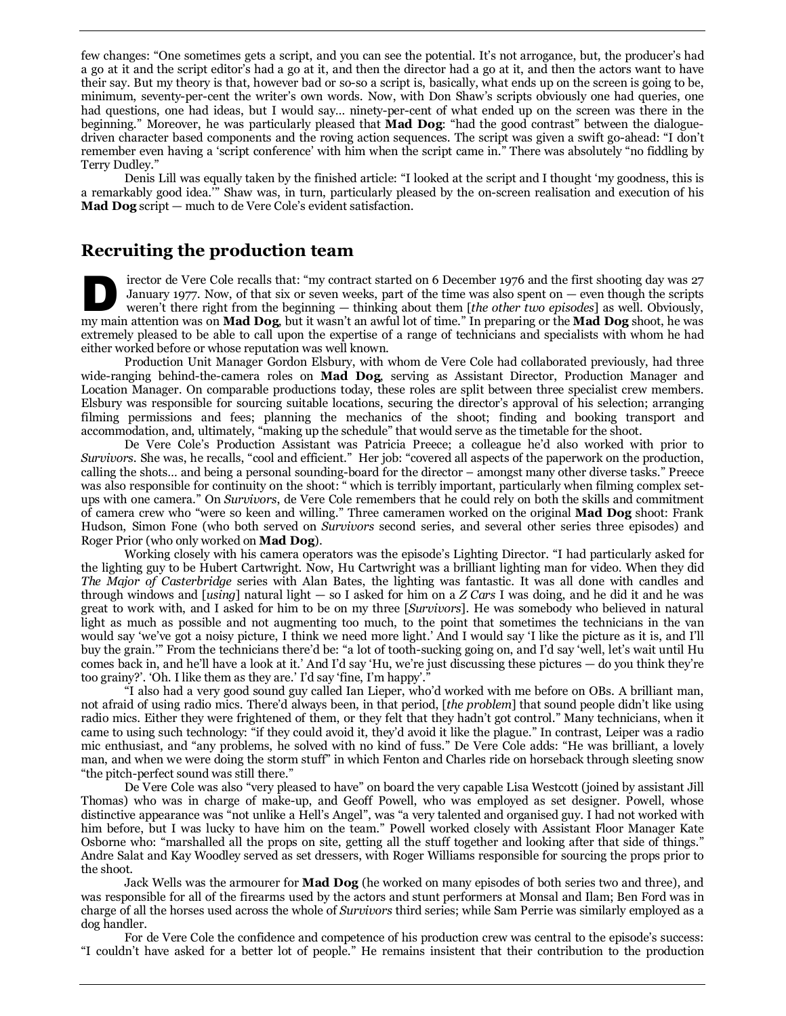few changes: "One sometimes gets a script, and you can see the potential. It's not arrogance, but, the producer's had a go at it and the script editor's had a go at it, and then the director had a go at it, and then the actors want to have their say. But my theory is that, however bad or so-so a script is, basically, what ends up on the screen is going to be, minimum, seventy-per-cent the writer's own words. Now, with Don Shaw's scripts obviously one had queries, one had questions, one had ideas, but I would say… ninety-per-cent of what ended up on the screen was there in the beginning." Moreover, he was particularly pleased that **Mad Dog**: "had the good contrast" between the dialoguedriven character based components and the roving action sequences. The script was given a swift go-ahead: "I don't remember even having a 'script conference' with him when the script came in." There was absolutely "no fiddling by Terry Dudley."

Denis Lill was equally taken by the finished article: "I looked at the script and I thought 'my goodness, this is a remarkably good idea.'" Shaw was, in turn, particularly pleased by the on-screen realisation and execution of his **Mad Dog** script — much to de Vere Cole's evident satisfaction.

## **Recruiting the production team**

irector de Vere Cole recalls that: "my contract started on 6 December 1976 and the first shooting day was 27 January 1977. Now, of that six or seven weeks, part of the time was also spent on  $-$  even though the scripts weren't there right from the beginning — thinking about them [*the other two episodes*] as well. Obviously, irector de Vere Cole recalls that: "my contract started on 6 December 1976 and the first shooting day was 27 January 1977. Now, of that six or seven weeks, part of the time was also spent on — even though the scripts weren extremely pleased to be able to call upon the expertise of a range of technicians and specialists with whom he had either worked before or whose reputation was well known.

Production Unit Manager Gordon Elsbury, with whom de Vere Cole had collaborated previously, had three wide-ranging behind-the-camera roles on **Mad Dog**, serving as Assistant Director, Production Manager and Location Manager. On comparable productions today, these roles are split between three specialist crew members. Elsbury was responsible for sourcing suitable locations, securing the director's approval of his selection; arranging filming permissions and fees; planning the mechanics of the shoot; finding and booking transport and accommodation, and, ultimately, "making up the schedule" that would serve as the timetable for the shoot.

De Vere Cole's Production Assistant was Patricia Preece; a colleague he'd also worked with prior to *Survivors*. She was, he recalls, "cool and efficient." Her job: "covered all aspects of the paperwork on the production, calling the shots… and being a personal sounding-board for the director – amongst many other diverse tasks." Preece was also responsible for continuity on the shoot: " which is terribly important, particularly when filming complex setups with one camera." On *Survivors*, de Vere Cole remembers that he could rely on both the skills and commitment of camera crew who "were so keen and willing." Three cameramen worked on the original **Mad Dog** shoot: Frank Hudson, Simon Fone (who both served on *Survivors* second series, and several other series three episodes) and Roger Prior (who only worked on **Mad Dog**).

Working closely with his camera operators was the episode's Lighting Director. "I had particularly asked for the lighting guy to be Hubert Cartwright. Now, Hu Cartwright was a brilliant lighting man for video. When they did *The Major of Casterbridge* series with Alan Bates, the lighting was fantastic. It was all done with candles and through windows and [*using*] natural light — so I asked for him on a *Z Cars* I was doing, and he did it and he was great to work with, and I asked for him to be on my three [*Survivors*]. He was somebody who believed in natural light as much as possible and not augmenting too much, to the point that sometimes the technicians in the van would say 'we've got a noisy picture, I think we need more light.' And I would say 'I like the picture as it is, and I'll buy the grain.'" From the technicians there'd be: "a lot of tooth-sucking going on, and I'd say 'well, let's wait until Hu comes back in, and he'll have a look at it.' And I'd say 'Hu, we're just discussing these pictures — do you think they're too grainy?'. 'Oh. I like them as they are.' I'd say 'fine, I'm happy'."

"I also had a very good sound guy called Ian Lieper, who'd worked with me before on OBs. A brilliant man, not afraid of using radio mics. There'd always been, in that period, [*the problem*] that sound people didn't like using radio mics. Either they were frightened of them, or they felt that they hadn't got control." Many technicians, when it came to using such technology: "if they could avoid it, they'd avoid it like the plague." In contrast, Leiper was a radio mic enthusiast, and "any problems, he solved with no kind of fuss." De Vere Cole adds: "He was brilliant, a lovely man, and when we were doing the storm stuff" in which Fenton and Charles ride on horseback through sleeting snow "the pitch-perfect sound was still there."

De Vere Cole was also "very pleased to have" on board the very capable Lisa Westcott (joined by assistant Jill Thomas) who was in charge of make-up, and Geoff Powell, who was employed as set designer. Powell, whose distinctive appearance was "not unlike a Hell's Angel", was "a very talented and organised guy. I had not worked with him before, but I was lucky to have him on the team." Powell worked closely with Assistant Floor Manager Kate Osborne who: "marshalled all the props on site, getting all the stuff together and looking after that side of things." Andre Salat and Kay Woodley served as set dressers, with Roger Williams responsible for sourcing the props prior to the shoot.

Jack Wells was the armourer for **Mad Dog** (he worked on many episodes of both series two and three), and was responsible for all of the firearms used by the actors and stunt performers at Monsal and Ilam; Ben Ford was in charge of all the horses used across the whole of *Survivors* third series; while Sam Perrie was similarly employed as a dog handler.

For de Vere Cole the confidence and competence of his production crew was central to the episode's success: "I couldn't have asked for a better lot of people." He remains insistent that their contribution to the production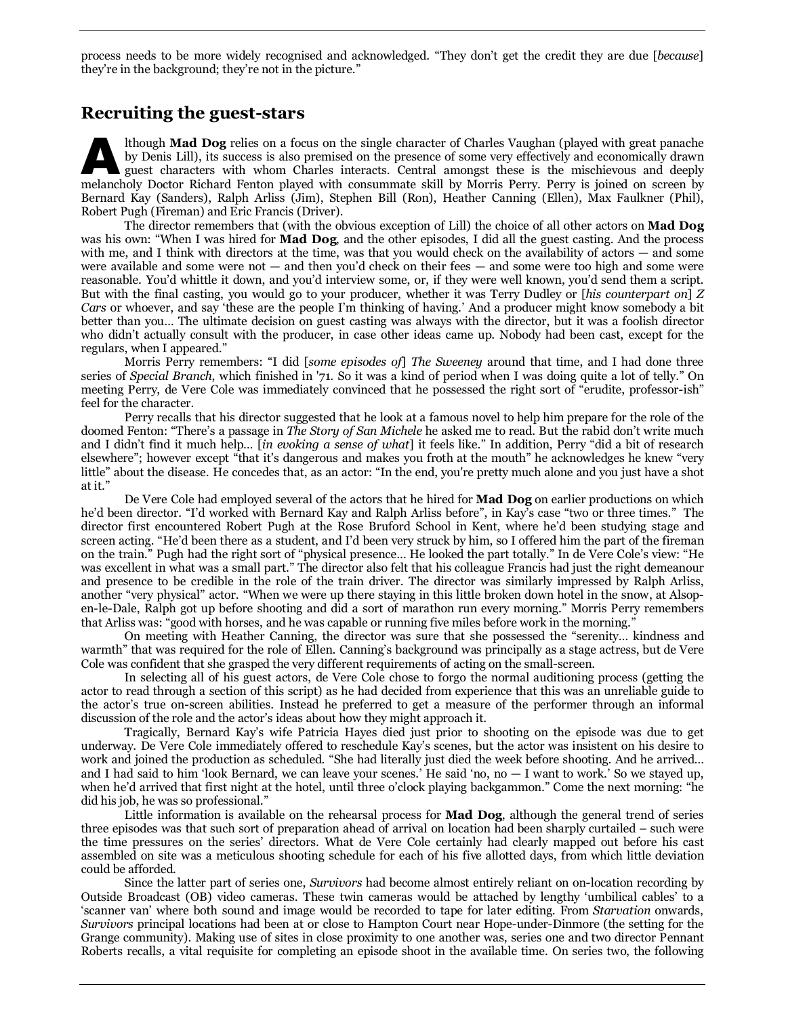process needs to be more widely recognised and acknowledged. "They don't get the credit they are due [*because*] they're in the background; they're not in the picture."

### **Recruiting the guest-stars**

lthough **Mad Dog** relies on a focus on the single character of Charles Vaughan (played with great panache by Denis Lill), its success is also premised on the presence of some very effectively and economically drawn guest characters with whom Charles interacts. Central amongst these is the mischievous and deeply Ithough **Mad Dog** relies on a focus on the single character of Charles Vaughan (played with great panache by Denis Lill), its success is also premised on the presence of some very effectively and economically drawn guest c Bernard Kay (Sanders), Ralph Arliss (Jim), Stephen Bill (Ron), Heather Canning (Ellen), Max Faulkner (Phil), Robert Pugh (Fireman) and Eric Francis (Driver).

The director remembers that (with the obvious exception of Lill) the choice of all other actors on **Mad Dog** was his own: "When I was hired for **Mad Dog**, and the other episodes, I did all the guest casting. And the process with me, and I think with directors at the time, was that you would check on the availability of actors — and some were available and some were not — and then you'd check on their fees — and some were too high and some were reasonable. You'd whittle it down, and you'd interview some, or, if they were well known, you'd send them a script. But with the final casting, you would go to your producer, whether it was Terry Dudley or [*his counterpart on*] *Z Cars* or whoever, and say 'these are the people I'm thinking of having.' And a producer might know somebody a bit better than you… The ultimate decision on guest casting was always with the director, but it was a foolish director who didn't actually consult with the producer, in case other ideas came up. Nobody had been cast, except for the regulars, when I appeared."

Morris Perry remembers: "I did [*some episodes of*] *The Sweeney* around that time, and I had done three series of *Special Branch*, which finished in '71. So it was a kind of period when I was doing quite a lot of telly." On meeting Perry, de Vere Cole was immediately convinced that he possessed the right sort of "erudite, professor-ish" feel for the character.

Perry recalls that his director suggested that he look at a famous novel to help him prepare for the role of the doomed Fenton: "There's a passage in *The Story of San Michele* he asked me to read. But the rabid don't write much and I didn't find it much help… [*in evoking a sense of what*] it feels like." In addition, Perry "did a bit of research elsewhere"; however except "that it's dangerous and makes you froth at the mouth" he acknowledges he knew "very little" about the disease. He concedes that, as an actor: "In the end, you're pretty much alone and you just have a shot at it."

De Vere Cole had employed several of the actors that he hired for **Mad Dog** on earlier productions on which he'd been director. "I'd worked with Bernard Kay and Ralph Arliss before", in Kay's case "two or three times." The director first encountered Robert Pugh at the Rose Bruford School in Kent, where he'd been studying stage and screen acting. "He'd been there as a student, and I'd been very struck by him, so I offered him the part of the fireman on the train." Pugh had the right sort of "physical presence… He looked the part totally." In de Vere Cole's view: "He was excellent in what was a small part." The director also felt that his colleague Francis had just the right demeanour and presence to be credible in the role of the train driver. The director was similarly impressed by Ralph Arliss, another "very physical" actor. "When we were up there staying in this little broken down hotel in the snow, at Alsopen-le-Dale, Ralph got up before shooting and did a sort of marathon run every morning." Morris Perry remembers that Arliss was: "good with horses, and he was capable or running five miles before work in the morning."

On meeting with Heather Canning, the director was sure that she possessed the "serenity… kindness and warmth" that was required for the role of Ellen. Canning's background was principally as a stage actress, but de Vere Cole was confident that she grasped the very different requirements of acting on the small-screen.

In selecting all of his guest actors, de Vere Cole chose to forgo the normal auditioning process (getting the actor to read through a section of this script) as he had decided from experience that this was an unreliable guide to the actor's true on-screen abilities. Instead he preferred to get a measure of the performer through an informal discussion of the role and the actor's ideas about how they might approach it.

Tragically, Bernard Kay's wife Patricia Hayes died just prior to shooting on the episode was due to get underway. De Vere Cole immediately offered to reschedule Kay's scenes, but the actor was insistent on his desire to work and joined the production as scheduled. "She had literally just died the week before shooting. And he arrived… and I had said to him 'look Bernard, we can leave your scenes.' He said 'no, no — I want to work.' So we stayed up, when he'd arrived that first night at the hotel, until three o'clock playing backgammon." Come the next morning: "he did his job, he was so professional."

Little information is available on the rehearsal process for **Mad Dog**, although the general trend of series three episodes was that such sort of preparation ahead of arrival on location had been sharply curtailed – such were the time pressures on the series' directors. What de Vere Cole certainly had clearly mapped out before his cast assembled on site was a meticulous shooting schedule for each of his five allotted days, from which little deviation could be afforded.

Since the latter part of series one, *Survivors* had become almost entirely reliant on on-location recording by Outside Broadcast (OB) video cameras. These twin cameras would be attached by lengthy 'umbilical cables' to a 'scanner van' where both sound and image would be recorded to tape for later editing. From *Starvation* onwards, *Survivors* principal locations had been at or close to Hampton Court near Hope-under-Dinmore (the setting for the Grange community). Making use of sites in close proximity to one another was, series one and two director Pennant Roberts recalls, a vital requisite for completing an episode shoot in the available time. On series two, the following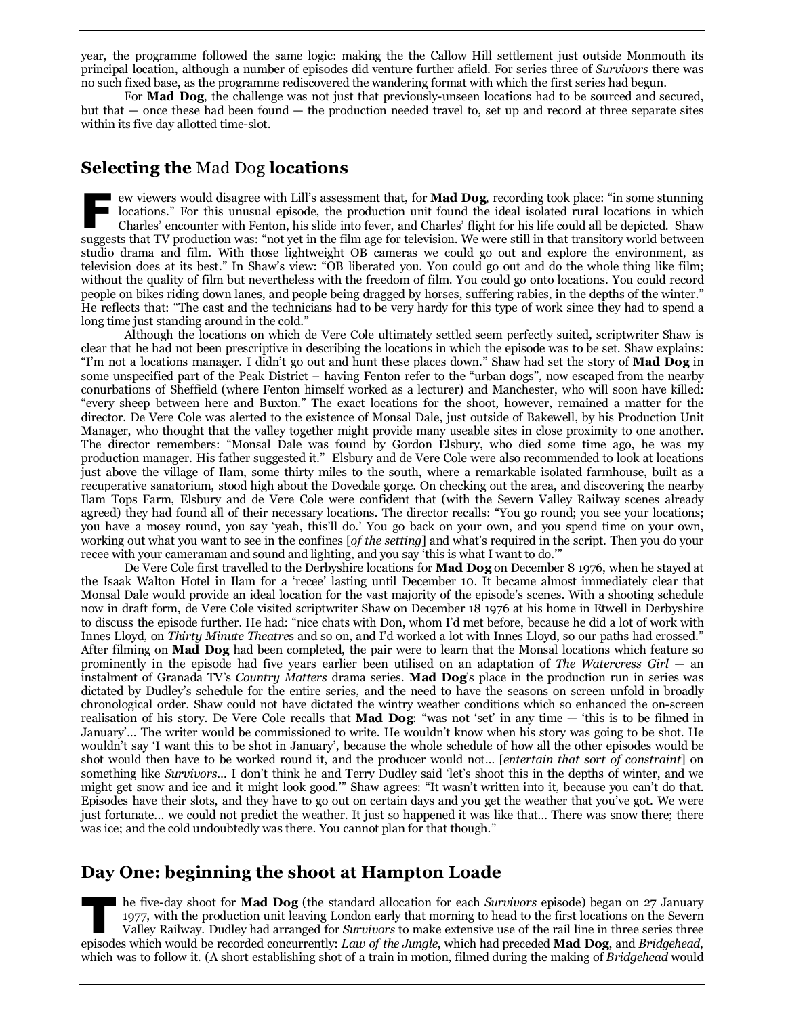year, the programme followed the same logic: making the the Callow Hill settlement just outside Monmouth its principal location, although a number of episodes did venture further afield. For series three of *Survivors* there was no such fixed base, as the programme rediscovered the wandering format with which the first series had begun.

For **Mad Dog**, the challenge was not just that previously-unseen locations had to be sourced and secured, but that — once these had been found — the production needed travel to, set up and record at three separate sites within its five day allotted time-slot.

## **Selecting the** Mad Dog **locations**

ew viewers would disagree with Lill's assessment that, for **Mad Dog**, recording took place: "in some stunning I locations." For this unusual episode, the production unit found the ideal isolated rural locations in which Charles' encounter with Fenton, his slide into fever, and Charles' flight for his life could all be depicted. Shaw ew viewers would disagree with Lill's assessment that, for **Mad Dog**, recording took place: "in some stunning locations." For this unusual episode, the production unit found the ideal isolated rural locations in which Char studio drama and film. With those lightweight OB cameras we could go out and explore the environment, as television does at its best." In Shaw's view: "OB liberated you. You could go out and do the whole thing like film; without the quality of film but nevertheless with the freedom of film. You could go onto locations. You could record people on bikes riding down lanes, and people being dragged by horses, suffering rabies, in the depths of the winter." He reflects that: "The cast and the technicians had to be very hardy for this type of work since they had to spend a long time just standing around in the cold."

Although the locations on which de Vere Cole ultimately settled seem perfectly suited, scriptwriter Shaw is clear that he had not been prescriptive in describing the locations in which the episode was to be set. Shaw explains: "I'm not a locations manager. I didn't go out and hunt these places down." Shaw had set the story of **Mad Dog** in some unspecified part of the Peak District – having Fenton refer to the "urban dogs", now escaped from the nearby conurbations of Sheffield (where Fenton himself worked as a lecturer) and Manchester, who will soon have killed: "every sheep between here and Buxton." The exact locations for the shoot, however, remained a matter for the director. De Vere Cole was alerted to the existence of Monsal Dale, just outside of Bakewell, by his Production Unit Manager, who thought that the valley together might provide many useable sites in close proximity to one another. The director remembers: "Monsal Dale was found by Gordon Elsbury, who died some time ago, he was my production manager. His father suggested it." Elsbury and de Vere Cole were also recommended to look at locations just above the village of Ilam, some thirty miles to the south, where a remarkable isolated farmhouse, built as a recuperative sanatorium, stood high about the Dovedale gorge. On checking out the area, and discovering the nearby Ilam Tops Farm, Elsbury and de Vere Cole were confident that (with the Severn Valley Railway scenes already agreed) they had found all of their necessary locations. The director recalls: "You go round; you see your locations; you have a mosey round, you say 'yeah, this'll do.' You go back on your own, and you spend time on your own, working out what you want to see in the confines [*of the setting*] and what's required in the script. Then you do your recee with your cameraman and sound and lighting, and you say 'this is what I want to do.'"

De Vere Cole first travelled to the Derbyshire locations for **Mad Dog** on December 8 1976, when he stayed at the Isaak Walton Hotel in Ilam for a 'recee' lasting until December 10. It became almost immediately clear that Monsal Dale would provide an ideal location for the vast majority of the episode's scenes. With a shooting schedule now in draft form, de Vere Cole visited scriptwriter Shaw on December 18 1976 at his home in Etwell in Derbyshire to discuss the episode further. He had: "nice chats with Don, whom I'd met before, because he did a lot of work with Innes Lloyd, on *Thirty Minute Theatre*s and so on, and I'd worked a lot with Innes Lloyd, so our paths had crossed." After filming on **Mad Dog** had been completed, the pair were to learn that the Monsal locations which feature so prominently in the episode had five years earlier been utilised on an adaptation of *The Watercress Girl* — an instalment of Granada TV's *Country Matters* drama series. **Mad Dog**'s place in the production run in series was dictated by Dudley's schedule for the entire series, and the need to have the seasons on screen unfold in broadly chronological order. Shaw could not have dictated the wintry weather conditions which so enhanced the on-screen realisation of his story. De Vere Cole recalls that **Mad Dog**: "was not 'set' in any time — 'this is to be filmed in January'… The writer would be commissioned to write. He wouldn't know when his story was going to be shot. He wouldn't say 'I want this to be shot in January', because the whole schedule of how all the other episodes would be shot would then have to be worked round it, and the producer would not… [*entertain that sort of constraint*] on something like *Survivors*… I don't think he and Terry Dudley said 'let's shoot this in the depths of winter, and we might get snow and ice and it might look good.'" Shaw agrees: "It wasn't written into it, because you can't do that. Episodes have their slots, and they have to go out on certain days and you get the weather that you've got. We were just fortunate... we could not predict the weather. It just so happened it was like that… There was snow there; there was ice; and the cold undoubtedly was there. You cannot plan for that though."

## **Day One: beginning the shoot at Hampton Loade**

he five-day shoot for **Mad Dog** (the standard allocation for each *Survivors* episode) began on 27 January 1977, with the production unit leaving London early that morning to head to the first locations on the Severn Valley Railway. Dudley had arranged for *Survivors* to make extensive use of the rail line in three series three episodes which would be recorded concurrently: *Law of the Jungle*, which had preceded **Mad Dog**, and *Bridgehead*, beyonds which would be recorded concurrently: *Law of the Jungle*, which had preceded **Mad Dog**, and *Brid* which was to follow it. (A short establishing shot of a train in motion, filmed during the making of *Bridgehead* would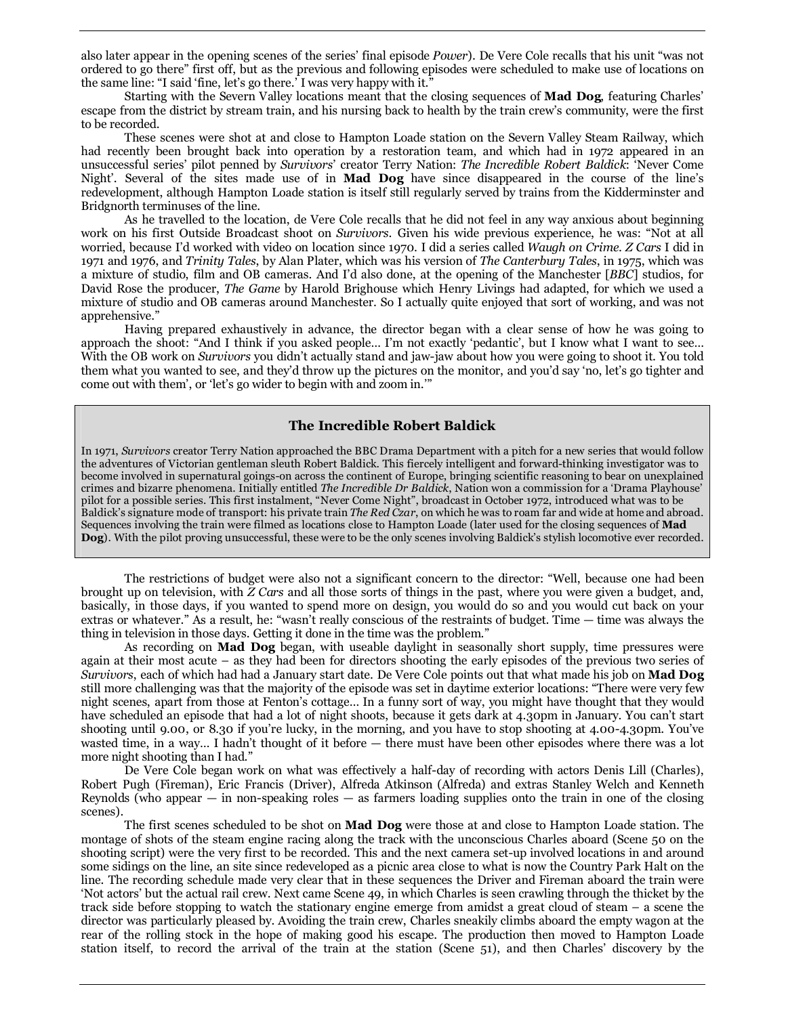also later appear in the opening scenes of the series' final episode *Power*). De Vere Cole recalls that his unit "was not ordered to go there" first off, but as the previous and following episodes were scheduled to make use of locations on the same line: "I said 'fine, let's go there.' I was very happy with it."

Starting with the Severn Valley locations meant that the closing sequences of **Mad Dog**, featuring Charles' escape from the district by stream train, and his nursing back to health by the train crew's community, were the first to be recorded.

These scenes were shot at and close to Hampton Loade station on the Severn Valley Steam Railway, which had recently been brought back into operation by a restoration team, and which had in 1972 appeared in an unsuccessful series' pilot penned by *Survivors*' creator Terry Nation: *The Incredible Robert Baldick*: 'Never Come Night'. Several of the sites made use of in **Mad Dog** have since disappeared in the course of the line's redevelopment, although Hampton Loade station is itself still regularly served by trains from the Kidderminster and Bridgnorth terminuses of the line.

As he travelled to the location, de Vere Cole recalls that he did not feel in any way anxious about beginning work on his first Outside Broadcast shoot on *Survivors*. Given his wide previous experience, he was: "Not at all worried, because I'd worked with video on location since 1970. I did a series called *Waugh on Crime*. *Z Cars* I did in 1971 and 1976, and *Trinity Tales*, by Alan Plater, which was his version of *The Canterbury Tales*, in 1975, which was a mixture of studio, film and OB cameras. And I'd also done, at the opening of the Manchester [*BBC*] studios, for David Rose the producer, *The Game* by Harold Brighouse which Henry Livings had adapted, for which we used a mixture of studio and OB cameras around Manchester. So I actually quite enjoyed that sort of working, and was not apprehensive."

Having prepared exhaustively in advance, the director began with a clear sense of how he was going to approach the shoot: "And I think if you asked people… I'm not exactly 'pedantic', but I know what I want to see… With the OB work on *Survivors* you didn't actually stand and jaw-jaw about how you were going to shoot it. You told them what you wanted to see, and they'd throw up the pictures on the monitor, and you'd say 'no, let's go tighter and come out with them', or 'let's go wider to begin with and zoom in.'"

#### **The Incredible Robert Baldick**

In 1971, *Survivors* creator Terry Nation approached the BBC Drama Department with a pitch for a new series that would follow the adventures of Victorian gentleman sleuth Robert Baldick. This fiercely intelligent and forward-thinking investigator was to become involved in supernatural goings-on across the continent of Europe, bringing scientific reasoning to bear on unexplained crimes and bizarre phenomena. Initially entitled *The Incredible Dr Baldick*, Nation won a commission for a 'Drama Playhouse' pilot for a possible series. This first instalment, "Never Come Night", broadcast in October 1972, introduced what was to be Baldick's signature mode of transport: his private train *The Red Czar*, on which he was to roam far and wide at home and abroad. Sequences involving the train were filmed as locations close to Hampton Loade (later used for the closing sequences of **Mad Dog**). With the pilot proving unsuccessful, these were to be the only scenes involving Baldick's stylish locomotive ever recorded.

The restrictions of budget were also not a significant concern to the director: "Well, because one had been brought up on television, with *Z Cars* and all those sorts of things in the past, where you were given a budget, and, basically, in those days, if you wanted to spend more on design, you would do so and you would cut back on your extras or whatever." As a result, he: "wasn't really conscious of the restraints of budget. Time — time was always the thing in television in those days. Getting it done in the time was the problem."

As recording on **Mad Dog** began, with useable daylight in seasonally short supply, time pressures were again at their most acute – as they had been for directors shooting the early episodes of the previous two series of *Survivors*, each of which had had a January start date. De Vere Cole points out that what made his job on **Mad Dog** still more challenging was that the majority of the episode was set in daytime exterior locations: "There were very few night scenes, apart from those at Fenton's cottage… In a funny sort of way, you might have thought that they would have scheduled an episode that had a lot of night shoots, because it gets dark at 4.30pm in January. You can't start shooting until 9.00, or 8.30 if you're lucky, in the morning, and you have to stop shooting at 4.00-4.30pm. You've wasted time, in a way… I hadn't thought of it before — there must have been other episodes where there was a lot more night shooting than I had."

De Vere Cole began work on what was effectively a half-day of recording with actors Denis Lill (Charles), Robert Pugh (Fireman), Eric Francis (Driver), Alfreda Atkinson (Alfreda) and extras Stanley Welch and Kenneth Reynolds (who appear — in non-speaking roles — as farmers loading supplies onto the train in one of the closing scenes).

The first scenes scheduled to be shot on **Mad Dog** were those at and close to Hampton Loade station. The montage of shots of the steam engine racing along the track with the unconscious Charles aboard (Scene 50 on the shooting script) were the very first to be recorded. This and the next camera set-up involved locations in and around some sidings on the line, an site since redeveloped as a picnic area close to what is now the Country Park Halt on the line. The recording schedule made very clear that in these sequences the Driver and Fireman aboard the train were 'Not actors' but the actual rail crew. Next came Scene 49, in which Charles is seen crawling through the thicket by the track side before stopping to watch the stationary engine emerge from amidst a great cloud of steam – a scene the director was particularly pleased by. Avoiding the train crew, Charles sneakily climbs aboard the empty wagon at the rear of the rolling stock in the hope of making good his escape. The production then moved to Hampton Loade station itself, to record the arrival of the train at the station (Scene 51), and then Charles' discovery by the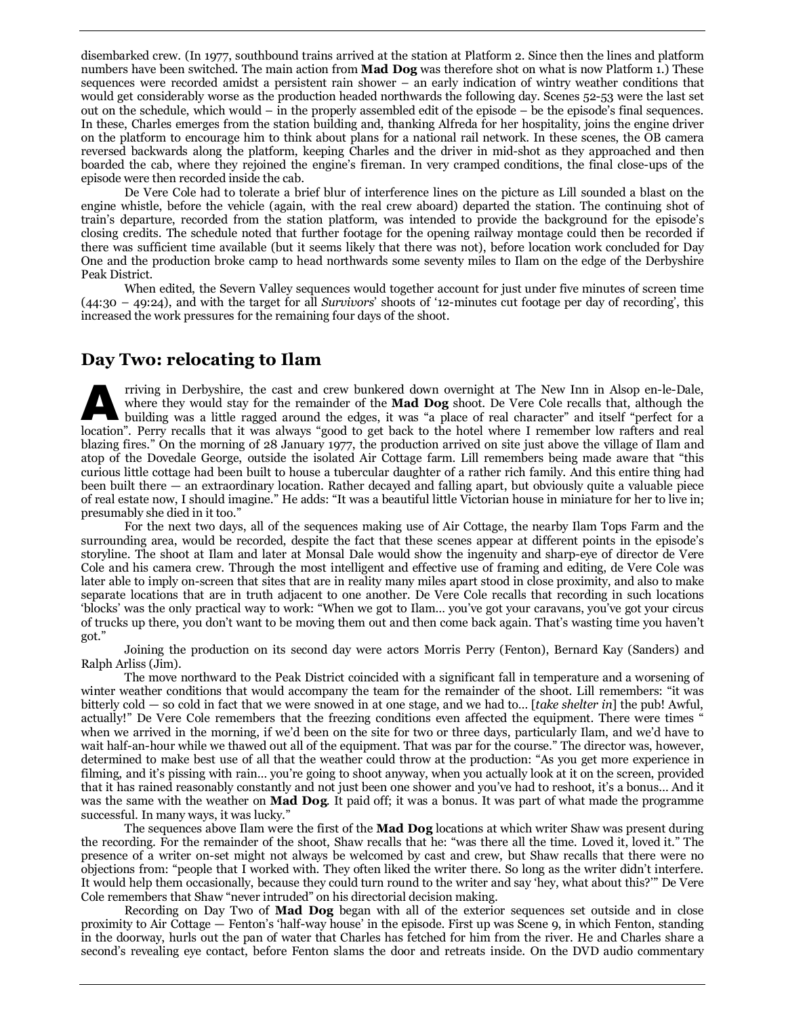disembarked crew. (In 1977, southbound trains arrived at the station at Platform 2. Since then the lines and platform numbers have been switched. The main action from **Mad Dog** was therefore shot on what is now Platform 1.) These sequences were recorded amidst a persistent rain shower – an early indication of wintry weather conditions that would get considerably worse as the production headed northwards the following day. Scenes 52-53 were the last set out on the schedule, which would – in the properly assembled edit of the episode – be the episode's final sequences. In these, Charles emerges from the station building and, thanking Alfreda for her hospitality, joins the engine driver on the platform to encourage him to think about plans for a national rail network. In these scenes, the OB camera reversed backwards along the platform, keeping Charles and the driver in mid-shot as they approached and then boarded the cab, where they rejoined the engine's fireman. In very cramped conditions, the final close-ups of the episode were then recorded inside the cab.

De Vere Cole had to tolerate a brief blur of interference lines on the picture as Lill sounded a blast on the engine whistle, before the vehicle (again, with the real crew aboard) departed the station. The continuing shot of train's departure, recorded from the station platform, was intended to provide the background for the episode's closing credits. The schedule noted that further footage for the opening railway montage could then be recorded if there was sufficient time available (but it seems likely that there was not), before location work concluded for Day One and the production broke camp to head northwards some seventy miles to Ilam on the edge of the Derbyshire Peak District.

When edited, the Severn Valley sequences would together account for just under five minutes of screen time (44:30 – 49:24), and with the target for all *Survivors*' shoots of '12-minutes cut footage per day of recording', this increased the work pressures for the remaining four days of the shoot.

## **Day Two: relocating to Ilam**

rriving in Derbyshire, the cast and crew bunkered down overnight at The New Inn in Alsop en-le-Dale, where they would stay for the remainder of the **Mad Dog** shoot. De Vere Cole recalls that, although the building was a little ragged around the edges, it was "a place of real character" and itself "perfect for a In the person of the cast and crew bunkered down overnight at The New Inn in Alsop en-le-Dale, where they would stay for the remainder of the **Mad Dog** shoot. De Vere Cole recalls that, although the building was a little r blazing fires." On the morning of 28 January 1977, the production arrived on site just above the village of Ilam and atop of the Dovedale George, outside the isolated Air Cottage farm. Lill remembers being made aware that "this curious little cottage had been built to house a tubercular daughter of a rather rich family. And this entire thing had been built there — an extraordinary location. Rather decayed and falling apart, but obviously quite a valuable piece of real estate now, I should imagine." He adds: "It was a beautiful little Victorian house in miniature for her to live in; presumably she died in it too."

For the next two days, all of the sequences making use of Air Cottage, the nearby Ilam Tops Farm and the surrounding area, would be recorded, despite the fact that these scenes appear at different points in the episode's storyline. The shoot at Ilam and later at Monsal Dale would show the ingenuity and sharp-eye of director de Vere Cole and his camera crew. Through the most intelligent and effective use of framing and editing, de Vere Cole was later able to imply on-screen that sites that are in reality many miles apart stood in close proximity, and also to make separate locations that are in truth adjacent to one another. De Vere Cole recalls that recording in such locations 'blocks' was the only practical way to work: "When we got to Ilam… you've got your caravans, you've got your circus of trucks up there, you don't want to be moving them out and then come back again. That's wasting time you haven't got."

Joining the production on its second day were actors Morris Perry (Fenton), Bernard Kay (Sanders) and Ralph Arliss (Jim).

The move northward to the Peak District coincided with a significant fall in temperature and a worsening of winter weather conditions that would accompany the team for the remainder of the shoot. Lill remembers: "it was bitterly cold — so cold in fact that we were snowed in at one stage, and we had to… [*take shelter in*] the pub! Awful, actually!" De Vere Cole remembers that the freezing conditions even affected the equipment. There were times " when we arrived in the morning, if we'd been on the site for two or three days, particularly Ilam, and we'd have to wait half-an-hour while we thawed out all of the equipment. That was par for the course." The director was, however, determined to make best use of all that the weather could throw at the production: "As you get more experience in filming, and it's pissing with rain… you're going to shoot anyway, when you actually look at it on the screen, provided that it has rained reasonably constantly and not just been one shower and you've had to reshoot, it's a bonus… And it was the same with the weather on **Mad Dog**. It paid off; it was a bonus. It was part of what made the programme successful. In many ways, it was lucky."

The sequences above Ilam were the first of the **Mad Dog** locations at which writer Shaw was present during the recording. For the remainder of the shoot, Shaw recalls that he: "was there all the time. Loved it, loved it." The presence of a writer on-set might not always be welcomed by cast and crew, but Shaw recalls that there were no objections from: "people that I worked with. They often liked the writer there. So long as the writer didn't interfere. It would help them occasionally, because they could turn round to the writer and say 'hey, what about this?'" De Vere Cole remembers that Shaw "never intruded" on his directorial decision making.

Recording on Day Two of **Mad Dog** began with all of the exterior sequences set outside and in close proximity to Air Cottage — Fenton's 'half-way house' in the episode. First up was Scene 9, in which Fenton, standing in the doorway, hurls out the pan of water that Charles has fetched for him from the river. He and Charles share a second's revealing eye contact, before Fenton slams the door and retreats inside. On the DVD audio commentary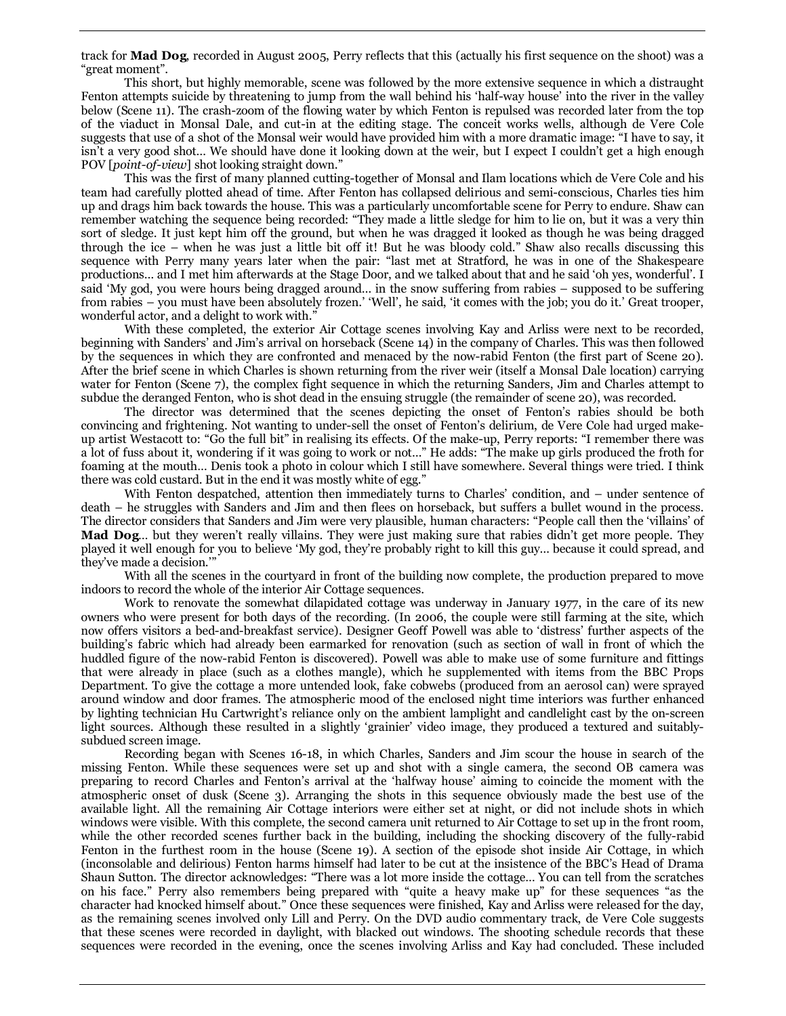track for **Mad Dog**, recorded in August 2005, Perry reflects that this (actually his first sequence on the shoot) was a "great moment".

This short, but highly memorable, scene was followed by the more extensive sequence in which a distraught Fenton attempts suicide by threatening to jump from the wall behind his 'half-way house' into the river in the valley below (Scene 11). The crash-zoom of the flowing water by which Fenton is repulsed was recorded later from the top of the viaduct in Monsal Dale, and cut-in at the editing stage. The conceit works wells, although de Vere Cole suggests that use of a shot of the Monsal weir would have provided him with a more dramatic image: "I have to say, it isn't a very good shot… We should have done it looking down at the weir, but I expect I couldn't get a high enough POV [*point-of-view*] shot looking straight down."

This was the first of many planned cutting-together of Monsal and Ilam locations which de Vere Cole and his team had carefully plotted ahead of time. After Fenton has collapsed delirious and semi-conscious, Charles ties him up and drags him back towards the house. This was a particularly uncomfortable scene for Perry to endure. Shaw can remember watching the sequence being recorded: "They made a little sledge for him to lie on, but it was a very thin sort of sledge. It just kept him off the ground, but when he was dragged it looked as though he was being dragged through the ice – when he was just a little bit off it! But he was bloody cold." Shaw also recalls discussing this sequence with Perry many years later when the pair: "last met at Stratford, he was in one of the Shakespeare productions… and I met him afterwards at the Stage Door, and we talked about that and he said 'oh yes, wonderful'. I said 'My god, you were hours being dragged around… in the snow suffering from rabies – supposed to be suffering from rabies – you must have been absolutely frozen.' 'Well', he said, 'it comes with the job; you do it.' Great trooper, wonderful actor, and a delight to work with."

With these completed, the exterior Air Cottage scenes involving Kay and Arliss were next to be recorded, beginning with Sanders' and Jim's arrival on horseback (Scene 14) in the company of Charles. This was then followed by the sequences in which they are confronted and menaced by the now-rabid Fenton (the first part of Scene 20). After the brief scene in which Charles is shown returning from the river weir (itself a Monsal Dale location) carrying water for Fenton (Scene 7), the complex fight sequence in which the returning Sanders, Jim and Charles attempt to subdue the deranged Fenton, who is shot dead in the ensuing struggle (the remainder of scene 20), was recorded.

The director was determined that the scenes depicting the onset of Fenton's rabies should be both convincing and frightening. Not wanting to under-sell the onset of Fenton's delirium, de Vere Cole had urged makeup artist Westacott to: "Go the full bit" in realising its effects. Of the make-up, Perry reports: "I remember there was a lot of fuss about it, wondering if it was going to work or not…" He adds: "The make up girls produced the froth for foaming at the mouth… Denis took a photo in colour which I still have somewhere. Several things were tried. I think there was cold custard. But in the end it was mostly white of egg."

With Fenton despatched, attention then immediately turns to Charles' condition, and – under sentence of death – he struggles with Sanders and Jim and then flees on horseback, but suffers a bullet wound in the process. The director considers that Sanders and Jim were very plausible, human characters: "People call then the 'villains' of **Mad Dog**… but they weren't really villains. They were just making sure that rabies didn't get more people. They played it well enough for you to believe 'My god, they're probably right to kill this guy… because it could spread, and they've made a decision.'"

With all the scenes in the courtyard in front of the building now complete, the production prepared to move indoors to record the whole of the interior Air Cottage sequences.

Work to renovate the somewhat dilapidated cottage was underway in January 1977, in the care of its new owners who were present for both days of the recording. (In 2006, the couple were still farming at the site, which now offers visitors a bed-and-breakfast service). Designer Geoff Powell was able to 'distress' further aspects of the building's fabric which had already been earmarked for renovation (such as section of wall in front of which the huddled figure of the now-rabid Fenton is discovered). Powell was able to make use of some furniture and fittings that were already in place (such as a clothes mangle), which he supplemented with items from the BBC Props Department. To give the cottage a more untended look, fake cobwebs (produced from an aerosol can) were sprayed around window and door frames. The atmospheric mood of the enclosed night time interiors was further enhanced by lighting technician Hu Cartwright's reliance only on the ambient lamplight and candlelight cast by the on-screen light sources. Although these resulted in a slightly 'grainier' video image, they produced a textured and suitablysubdued screen image.

Recording began with Scenes 16-18, in which Charles, Sanders and Jim scour the house in search of the missing Fenton. While these sequences were set up and shot with a single camera, the second OB camera was preparing to record Charles and Fenton's arrival at the 'halfway house' aiming to coincide the moment with the atmospheric onset of dusk (Scene 3). Arranging the shots in this sequence obviously made the best use of the available light. All the remaining Air Cottage interiors were either set at night, or did not include shots in which windows were visible. With this complete, the second camera unit returned to Air Cottage to set up in the front room, while the other recorded scenes further back in the building, including the shocking discovery of the fully-rabid Fenton in the furthest room in the house (Scene 19). A section of the episode shot inside Air Cottage, in which (inconsolable and delirious) Fenton harms himself had later to be cut at the insistence of the BBC's Head of Drama Shaun Sutton. The director acknowledges: "There was a lot more inside the cottage… You can tell from the scratches on his face." Perry also remembers being prepared with "quite a heavy make up" for these sequences "as the character had knocked himself about." Once these sequences were finished, Kay and Arliss were released for the day, as the remaining scenes involved only Lill and Perry. On the DVD audio commentary track, de Vere Cole suggests that these scenes were recorded in daylight, with blacked out windows. The shooting schedule records that these sequences were recorded in the evening, once the scenes involving Arliss and Kay had concluded. These included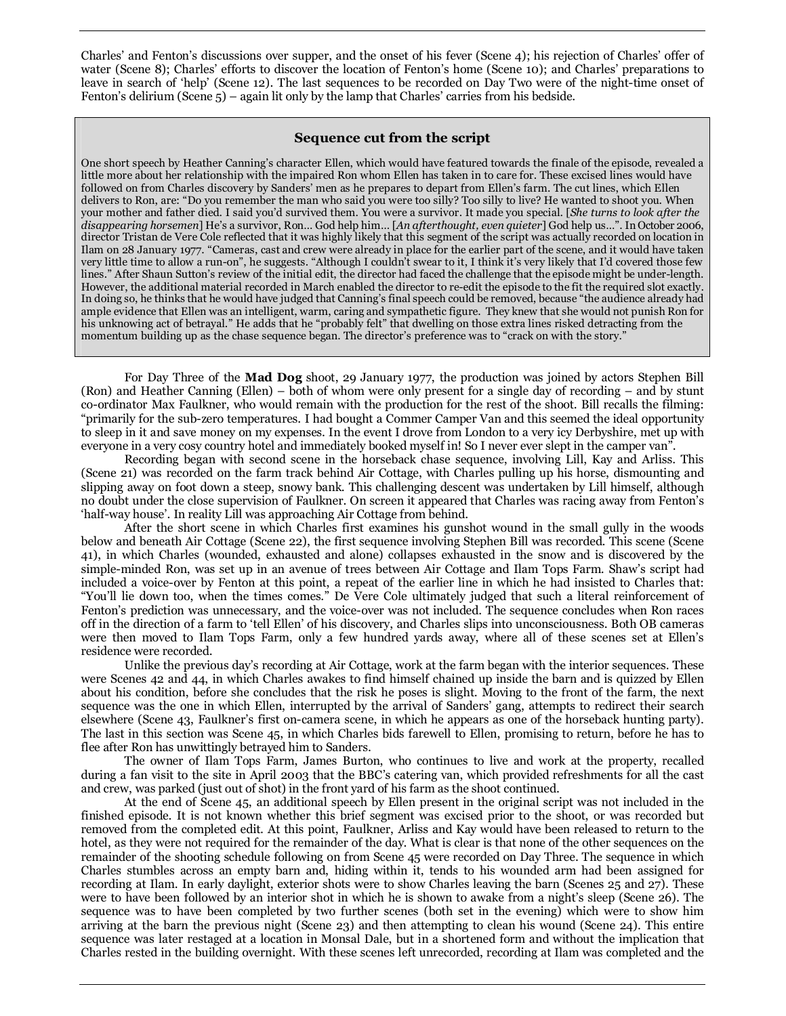Charles' and Fenton's discussions over supper, and the onset of his fever (Scene 4); his rejection of Charles' offer of water (Scene 8); Charles' efforts to discover the location of Fenton's home (Scene 10); and Charles' preparations to leave in search of 'help' (Scene 12). The last sequences to be recorded on Day Two were of the night-time onset of Fenton's delirium (Scene 5) – again lit only by the lamp that Charles' carries from his bedside.

#### **Sequence cut from the script**

One short speech by Heather Canning's character Ellen, which would have featured towards the finale of the episode, revealed a little more about her relationship with the impaired Ron whom Ellen has taken in to care for. These excised lines would have followed on from Charles discovery by Sanders' men as he prepares to depart from Ellen's farm. The cut lines, which Ellen delivers to Ron, are: "Do you remember the man who said you were too silly? Too silly to live? He wanted to shoot you. When your mother and father died. I said you'd survived them. You were a survivor. It made you special. [*She turns to look after the disappearing horsemen*] He's a survivor, Ron… God help him… [*An afterthought, even quieter*] God help us…". In October 2006, director Tristan de Vere Cole reflected that it was highly likely that this segment of the script was actually recorded on location in Ilam on 28 January 1977. "Cameras, cast and crew were already in place for the earlier part of the scene, and it would have taken very little time to allow a run-on", he suggests. "Although I couldn't swear to it, I think it's very likely that I'd covered those few lines." After Shaun Sutton's review of the initial edit, the director had faced the challenge that the episode might be under-length. However, the additional material recorded in March enabled the director to re-edit the episode to the fit the required slot exactly. In doing so, he thinks that he would have judged that Canning's final speech could be removed, because "the audience already had ample evidence that Ellen was an intelligent, warm, caring and sympathetic figure. They knew that she would not punish Ron for his unknowing act of betrayal." He adds that he "probably felt" that dwelling on those extra lines risked detracting from the momentum building up as the chase sequence began. The director's preference was to "crack on with the story."

For Day Three of the **Mad Dog** shoot, 29 January 1977, the production was joined by actors Stephen Bill (Ron) and Heather Canning (Ellen) – both of whom were only present for a single day of recording – and by stunt co-ordinator Max Faulkner, who would remain with the production for the rest of the shoot. Bill recalls the filming: "primarily for the sub-zero temperatures. I had bought a Commer Camper Van and this seemed the ideal opportunity to sleep in it and save money on my expenses. In the event I drove from London to a very icy Derbyshire, met up with everyone in a very cosy country hotel and immediately booked myself in! So I never ever slept in the camper van".

Recording began with second scene in the horseback chase sequence, involving Lill, Kay and Arliss. This (Scene 21) was recorded on the farm track behind Air Cottage, with Charles pulling up his horse, dismounting and slipping away on foot down a steep, snowy bank. This challenging descent was undertaken by Lill himself, although no doubt under the close supervision of Faulkner. On screen it appeared that Charles was racing away from Fenton's 'half-way house'. In reality Lill was approaching Air Cottage from behind.

After the short scene in which Charles first examines his gunshot wound in the small gully in the woods below and beneath Air Cottage (Scene 22), the first sequence involving Stephen Bill was recorded. This scene (Scene 41), in which Charles (wounded, exhausted and alone) collapses exhausted in the snow and is discovered by the simple-minded Ron, was set up in an avenue of trees between Air Cottage and Ilam Tops Farm. Shaw's script had included a voice-over by Fenton at this point, a repeat of the earlier line in which he had insisted to Charles that: "You'll lie down too, when the times comes." De Vere Cole ultimately judged that such a literal reinforcement of Fenton's prediction was unnecessary, and the voice-over was not included. The sequence concludes when Ron races off in the direction of a farm to 'tell Ellen' of his discovery, and Charles slips into unconsciousness. Both OB cameras were then moved to Ilam Tops Farm, only a few hundred yards away, where all of these scenes set at Ellen's residence were recorded.

Unlike the previous day's recording at Air Cottage, work at the farm began with the interior sequences. These were Scenes 42 and 44, in which Charles awakes to find himself chained up inside the barn and is quizzed by Ellen about his condition, before she concludes that the risk he poses is slight. Moving to the front of the farm, the next sequence was the one in which Ellen, interrupted by the arrival of Sanders' gang, attempts to redirect their search elsewhere (Scene 43, Faulkner's first on-camera scene, in which he appears as one of the horseback hunting party). The last in this section was Scene 45, in which Charles bids farewell to Ellen, promising to return, before he has to flee after Ron has unwittingly betrayed him to Sanders.

The owner of Ilam Tops Farm, James Burton, who continues to live and work at the property, recalled during a fan visit to the site in April 2003 that the BBC's catering van, which provided refreshments for all the cast and crew, was parked (just out of shot) in the front yard of his farm as the shoot continued.

At the end of Scene 45, an additional speech by Ellen present in the original script was not included in the finished episode. It is not known whether this brief segment was excised prior to the shoot, or was recorded but removed from the completed edit. At this point, Faulkner, Arliss and Kay would have been released to return to the hotel, as they were not required for the remainder of the day. What is clear is that none of the other sequences on the remainder of the shooting schedule following on from Scene 45 were recorded on Day Three. The sequence in which Charles stumbles across an empty barn and, hiding within it, tends to his wounded arm had been assigned for recording at Ilam. In early daylight, exterior shots were to show Charles leaving the barn (Scenes 25 and 27). These were to have been followed by an interior shot in which he is shown to awake from a night's sleep (Scene 26). The sequence was to have been completed by two further scenes (both set in the evening) which were to show him arriving at the barn the previous night (Scene 23) and then attempting to clean his wound (Scene 24). This entire sequence was later restaged at a location in Monsal Dale, but in a shortened form and without the implication that Charles rested in the building overnight. With these scenes left unrecorded, recording at Ilam was completed and the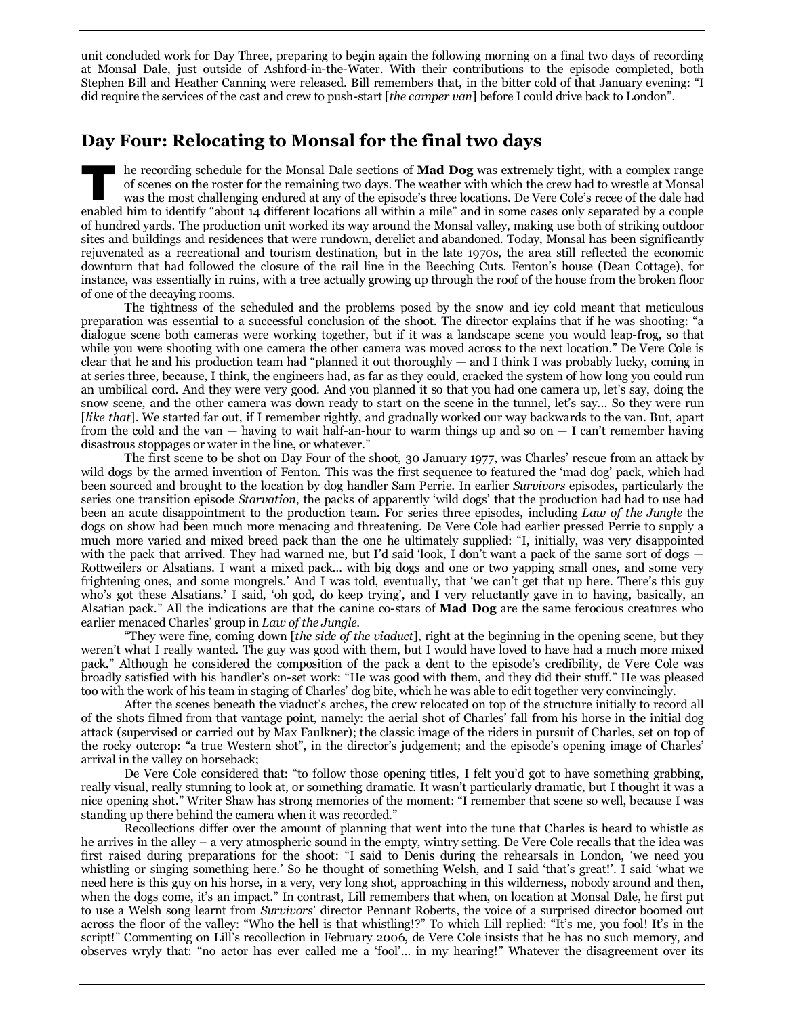unit concluded work for Day Three, preparing to begin again the following morning on a final two days of recording at Monsal Dale, just outside of Ashford-in-the-Water. With their contributions to the episode completed, both Stephen Bill and Heather Canning were released. Bill remembers that, in the bitter cold of that January evening: "I did require the services of the cast and crew to push-start [*the camper van*] before I could drive back to London".

## **Day Four: Relocating to Monsal for the final two days**

he recording schedule for the Monsal Dale sections of **Mad Dog** was extremely tight, with a complex range of scenes on the roster for the remaining two days. The weather with which the crew had to wrestle at Monsal was the most challenging endured at any of the episode's three locations. De Vere Cole's recee of the dale had In the recording schedule for the Monsal Dale sections of **Mad Dog** was extremely tight, with a complex range of scenes on the roster for the remaining two days. The weather with which the crew had to wrestle at Monsal was of hundred yards. The production unit worked its way around the Monsal valley, making use both of striking outdoor sites and buildings and residences that were rundown, derelict and abandoned. Today, Monsal has been significantly rejuvenated as a recreational and tourism destination, but in the late 1970s, the area still reflected the economic downturn that had followed the closure of the rail line in the Beeching Cuts. Fenton's house (Dean Cottage), for instance, was essentially in ruins, with a tree actually growing up through the roof of the house from the broken floor of one of the decaying rooms.

The tightness of the scheduled and the problems posed by the snow and icy cold meant that meticulous preparation was essential to a successful conclusion of the shoot. The director explains that if he was shooting: "a dialogue scene both cameras were working together, but if it was a landscape scene you would leap-frog, so that while you were shooting with one camera the other camera was moved across to the next location." De Vere Cole is clear that he and his production team had "planned it out thoroughly — and I think I was probably lucky, coming in at series three, because, I think, the engineers had, as far as they could, cracked the system of how long you could run an umbilical cord. And they were very good. And you planned it so that you had one camera up, let's say, doing the snow scene, and the other camera was down ready to start on the scene in the tunnel, let's say... So they were run [*like that*]. We started far out, if I remember rightly, and gradually worked our way backwards to the van. But, apart from the cold and the van — having to wait half-an-hour to warm things up and so on — I can't remember having disastrous stoppages or water in the line, or whatever."

The first scene to be shot on Day Four of the shoot, 30 January 1977, was Charles' rescue from an attack by wild dogs by the armed invention of Fenton. This was the first sequence to featured the 'mad dog' pack, which had been sourced and brought to the location by dog handler Sam Perrie. In earlier *Survivors* episodes, particularly the series one transition episode *Starvation*, the packs of apparently 'wild dogs' that the production had had to use had been an acute disappointment to the production team. For series three episodes, including *Law of the Jungle* the dogs on show had been much more menacing and threatening. De Vere Cole had earlier pressed Perrie to supply a much more varied and mixed breed pack than the one he ultimately supplied: "I, initially, was very disappointed with the pack that arrived. They had warned me, but I'd said 'look, I don't want a pack of the same sort of dogs  $-$ Rottweilers or Alsatians. I want a mixed pack… with big dogs and one or two yapping small ones, and some very frightening ones, and some mongrels.' And I was told, eventually, that 'we can't get that up here. There's this guy who's got these Alsatians.' I said, 'oh god, do keep trying', and I very reluctantly gave in to having, basically, an Alsatian pack." All the indications are that the canine co-stars of **Mad Dog** are the same ferocious creatures who earlier menaced Charles' group in *Law of the Jungle*.

"They were fine, coming down [*the side of the viaduct*], right at the beginning in the opening scene, but they weren't what I really wanted. The guy was good with them, but I would have loved to have had a much more mixed pack." Although he considered the composition of the pack a dent to the episode's credibility, de Vere Cole was broadly satisfied with his handler's on-set work: "He was good with them, and they did their stuff." He was pleased too with the work of his team in staging of Charles' dog bite, which he was able to edit together very convincingly.

After the scenes beneath the viaduct's arches, the crew relocated on top of the structure initially to record all of the shots filmed from that vantage point, namely: the aerial shot of Charles' fall from his horse in the initial dog attack (supervised or carried out by Max Faulkner); the classic image of the riders in pursuit of Charles, set on top of the rocky outcrop: "a true Western shot", in the director's judgement; and the episode's opening image of Charles' arrival in the valley on horseback;

De Vere Cole considered that: "to follow those opening titles, I felt you'd got to have something grabbing, really visual, really stunning to look at, or something dramatic. It wasn't particularly dramatic, but I thought it was a nice opening shot." Writer Shaw has strong memories of the moment: "I remember that scene so well, because I was standing up there behind the camera when it was recorded."

Recollections differ over the amount of planning that went into the tune that Charles is heard to whistle as he arrives in the alley – a very atmospheric sound in the empty, wintry setting. De Vere Cole recalls that the idea was first raised during preparations for the shoot: "I said to Denis during the rehearsals in London, 'we need you whistling or singing something here.' So he thought of something Welsh, and I said 'that's great!'. I said 'what we need here is this guy on his horse, in a very, very long shot, approaching in this wilderness, nobody around and then, when the dogs come, it's an impact." In contrast, Lill remembers that when, on location at Monsal Dale, he first put to use a Welsh song learnt from *Survivors*' director Pennant Roberts, the voice of a surprised director boomed out across the floor of the valley: "Who the hell is that whistling!?" To which Lill replied: "It's me, you fool! It's in the script!" Commenting on Lill's recollection in February 2006, de Vere Cole insists that he has no such memory, and observes wryly that: "no actor has ever called me a 'fool'… in my hearing!" Whatever the disagreement over its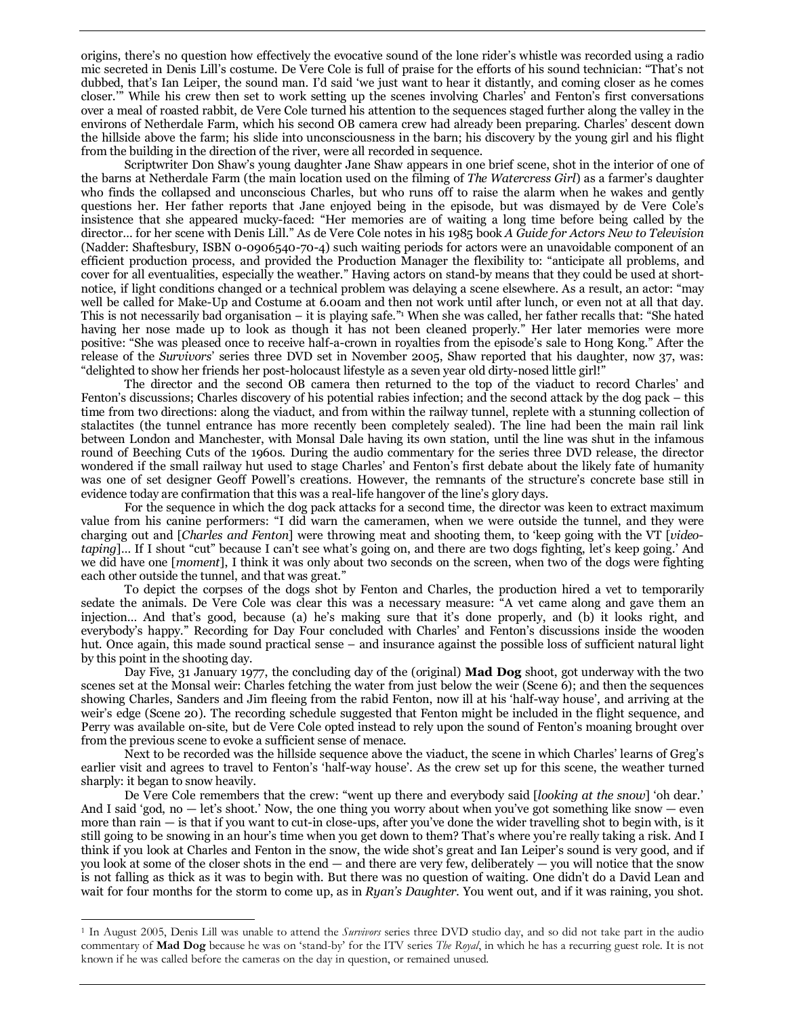origins, there's no question how effectively the evocative sound of the lone rider's whistle was recorded using a radio mic secreted in Denis Lill's costume. De Vere Cole is full of praise for the efforts of his sound technician: "That's not dubbed, that's Ian Leiper, the sound man. I'd said 'we just want to hear it distantly, and coming closer as he comes closer.'" While his crew then set to work setting up the scenes involving Charles' and Fenton's first conversations over a meal of roasted rabbit, de Vere Cole turned his attention to the sequences staged further along the valley in the environs of Netherdale Farm, which his second OB camera crew had already been preparing. Charles' descent down the hillside above the farm; his slide into unconsciousness in the barn; his discovery by the young girl and his flight from the building in the direction of the river, were all recorded in sequence.

Scriptwriter Don Shaw's young daughter Jane Shaw appears in one brief scene, shot in the interior of one of the barns at Netherdale Farm (the main location used on the filming of *The Watercress Girl*) as a farmer's daughter who finds the collapsed and unconscious Charles, but who runs off to raise the alarm when he wakes and gently questions her. Her father reports that Jane enjoyed being in the episode, but was dismayed by de Vere Cole's insistence that she appeared mucky-faced: "Her memories are of waiting a long time before being called by the director… for her scene with Denis Lill." As de Vere Cole notes in his 1985 book *A Guide for Actors New to Television* (Nadder: Shaftesbury, ISBN 0-0906540-70-4) such waiting periods for actors were an unavoidable component of an efficient production process, and provided the Production Manager the flexibility to: "anticipate all problems, and cover for all eventualities, especially the weather." Having actors on stand-by means that they could be used at shortnotice, if light conditions changed or a technical problem was delaying a scene elsewhere. As a result, an actor: "may well be called for Make-Up and Costume at 6.00am and then not work until after lunch, or even not at all that day. This is not necessarily bad organisation – it is playing safe."<sup>1</sup> When she was called, her father recalls that: "She hated having her nose made up to look as though it has not been cleaned properly." Her later memories were more positive: "She was pleased once to receive half-a-crown in royalties from the episode's sale to Hong Kong." After the release of the *Survivors*' series three DVD set in November 2005, Shaw reported that his daughter, now 37, was: "delighted to show her friends her post-holocaust lifestyle as a seven year old dirty-nosed little girl!"

The director and the second OB camera then returned to the top of the viaduct to record Charles' and Fenton's discussions; Charles discovery of his potential rabies infection; and the second attack by the dog pack – this time from two directions: along the viaduct, and from within the railway tunnel, replete with a stunning collection of stalactites (the tunnel entrance has more recently been completely sealed). The line had been the main rail link between London and Manchester, with Monsal Dale having its own station, until the line was shut in the infamous round of Beeching Cuts of the 1960s. During the audio commentary for the series three DVD release, the director wondered if the small railway hut used to stage Charles' and Fenton's first debate about the likely fate of humanity was one of set designer Geoff Powell's creations. However, the remnants of the structure's concrete base still in evidence today are confirmation that this was a real-life hangover of the line's glory days.

For the sequence in which the dog pack attacks for a second time, the director was keen to extract maximum value from his canine performers: "I did warn the cameramen, when we were outside the tunnel, and they were charging out and [*Charles and Fenton*] were throwing meat and shooting them, to 'keep going with the VT [*videotaping*]… If I shout "cut" because I can't see what's going on, and there are two dogs fighting, let's keep going.' And we did have one [*moment*], I think it was only about two seconds on the screen, when two of the dogs were fighting each other outside the tunnel, and that was great."

To depict the corpses of the dogs shot by Fenton and Charles, the production hired a vet to temporarily sedate the animals. De Vere Cole was clear this was a necessary measure: "A vet came along and gave them an injection… And that's good, because (a) he's making sure that it's done properly, and (b) it looks right, and everybody's happy." Recording for Day Four concluded with Charles' and Fenton's discussions inside the wooden hut. Once again, this made sound practical sense – and insurance against the possible loss of sufficient natural light by this point in the shooting day.

Day Five, 31 January 1977, the concluding day of the (original) **Mad Dog** shoot, got underway with the two scenes set at the Monsal weir: Charles fetching the water from just below the weir (Scene 6); and then the sequences showing Charles, Sanders and Jim fleeing from the rabid Fenton, now ill at his 'half-way house', and arriving at the weir's edge (Scene 20). The recording schedule suggested that Fenton might be included in the flight sequence, and Perry was available on-site, but de Vere Cole opted instead to rely upon the sound of Fenton's moaning brought over from the previous scene to evoke a sufficient sense of menace.

Next to be recorded was the hillside sequence above the viaduct, the scene in which Charles' learns of Greg's earlier visit and agrees to travel to Fenton's 'half-way house'. As the crew set up for this scene, the weather turned sharply: it began to snow heavily.

De Vere Cole remembers that the crew: "went up there and everybody said [*looking at the snow*] 'oh dear.' And I said 'god, no  $-$  let's shoot.' Now, the one thing you worry about when you've got something like snow  $-$  even more than rain — is that if you want to cut-in close-ups, after you've done the wider travelling shot to begin with, is it still going to be snowing in an hour's time when you get down to them? That's where you're really taking a risk. And I think if you look at Charles and Fenton in the snow, the wide shot's great and Ian Leiper's sound is very good, and if you look at some of the closer shots in the end — and there are very few, deliberately — you will notice that the snow is not falling as thick as it was to begin with. But there was no question of waiting. One didn't do a David Lean and wait for four months for the storm to come up, as in *Ryan's Daughter*. You went out, and if it was raining, you shot.

 $\overline{a}$ 

<sup>1</sup> In August 2005, Denis Lill was unable to attend the *Survivors* series three DVD studio day, and so did not take part in the audio commentary of **Mad Dog** because he was on 'stand-by' for the ITV series *The Royal*, in which he has a recurring guest role. It is not known if he was called before the cameras on the day in question, or remained unused.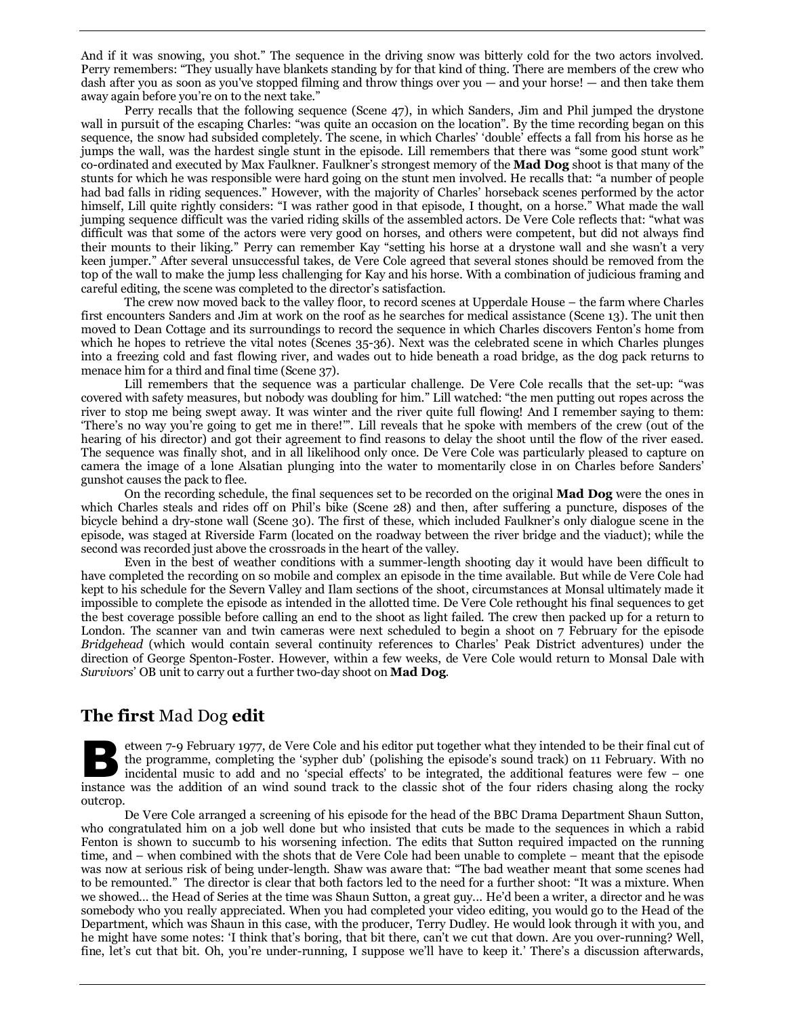And if it was snowing, you shot." The sequence in the driving snow was bitterly cold for the two actors involved. Perry remembers: "They usually have blankets standing by for that kind of thing. There are members of the crew who dash after you as soon as you've stopped filming and throw things over you — and your horse! — and then take them away again before you're on to the next take."

Perry recalls that the following sequence (Scene 47), in which Sanders, Jim and Phil jumped the drystone wall in pursuit of the escaping Charles: "was quite an occasion on the location". By the time recording began on this sequence, the snow had subsided completely. The scene, in which Charles' 'double' effects a fall from his horse as he jumps the wall, was the hardest single stunt in the episode. Lill remembers that there was "some good stunt work" co-ordinated and executed by Max Faulkner. Faulkner's strongest memory of the **Mad Dog** shoot is that many of the stunts for which he was responsible were hard going on the stunt men involved. He recalls that: "a number of people had bad falls in riding sequences." However, with the majority of Charles' horseback scenes performed by the actor himself, Lill quite rightly considers: "I was rather good in that episode, I thought, on a horse." What made the wall jumping sequence difficult was the varied riding skills of the assembled actors. De Vere Cole reflects that: "what was difficult was that some of the actors were very good on horses, and others were competent, but did not always find their mounts to their liking." Perry can remember Kay "setting his horse at a drystone wall and she wasn't a very keen jumper." After several unsuccessful takes, de Vere Cole agreed that several stones should be removed from the top of the wall to make the jump less challenging for Kay and his horse. With a combination of judicious framing and careful editing, the scene was completed to the director's satisfaction.

The crew now moved back to the valley floor, to record scenes at Upperdale House – the farm where Charles first encounters Sanders and Jim at work on the roof as he searches for medical assistance (Scene 13). The unit then moved to Dean Cottage and its surroundings to record the sequence in which Charles discovers Fenton's home from which he hopes to retrieve the vital notes (Scenes 35-36). Next was the celebrated scene in which Charles plunges into a freezing cold and fast flowing river, and wades out to hide beneath a road bridge, as the dog pack returns to menace him for a third and final time (Scene 37).

Lill remembers that the sequence was a particular challenge. De Vere Cole recalls that the set-up: "was covered with safety measures, but nobody was doubling for him." Lill watched: "the men putting out ropes across the river to stop me being swept away. It was winter and the river quite full flowing! And I remember saying to them: 'There's no way you're going to get me in there!'". Lill reveals that he spoke with members of the crew (out of the hearing of his director) and got their agreement to find reasons to delay the shoot until the flow of the river eased. The sequence was finally shot, and in all likelihood only once. De Vere Cole was particularly pleased to capture on camera the image of a lone Alsatian plunging into the water to momentarily close in on Charles before Sanders' gunshot causes the pack to flee.

On the recording schedule, the final sequences set to be recorded on the original **Mad Dog** were the ones in which Charles steals and rides off on Phil's bike (Scene 28) and then, after suffering a puncture, disposes of the bicycle behind a dry-stone wall (Scene 30). The first of these, which included Faulkner's only dialogue scene in the episode, was staged at Riverside Farm (located on the roadway between the river bridge and the viaduct); while the second was recorded just above the crossroads in the heart of the valley.

Even in the best of weather conditions with a summer-length shooting day it would have been difficult to have completed the recording on so mobile and complex an episode in the time available. But while de Vere Cole had kept to his schedule for the Severn Valley and Ilam sections of the shoot, circumstances at Monsal ultimately made it impossible to complete the episode as intended in the allotted time. De Vere Cole rethought his final sequences to get the best coverage possible before calling an end to the shoot as light failed. The crew then packed up for a return to London. The scanner van and twin cameras were next scheduled to begin a shoot on  $\overline{\gamma}$  February for the episode *Bridgehead* (which would contain several continuity references to Charles' Peak District adventures) under the direction of George Spenton-Foster. However, within a few weeks, de Vere Cole would return to Monsal Dale with *Survivors*' OB unit to carry out a further two-day shoot on **Mad Dog**.

## **The first** Mad Dog **edit**

etween 7-9 February 1977, de Vere Cole and his editor put together what they intended to be their final cut of the programme, completing the 'sypher dub' (polishing the episode's sound track) on 11 February. With no incidental music to add and no 'special effects' to be integrated, the additional features were few – one etween 7-9 February 1977, de Vere Cole and his editor put together what they intended to be their final cut of<br>the programme, completing the 'sypher dub' (polishing the episode's sound track) on 11 February. With no<br>incide outcrop.

De Vere Cole arranged a screening of his episode for the head of the BBC Drama Department Shaun Sutton, who congratulated him on a job well done but who insisted that cuts be made to the sequences in which a rabid Fenton is shown to succumb to his worsening infection. The edits that Sutton required impacted on the running time, and – when combined with the shots that de Vere Cole had been unable to complete – meant that the episode was now at serious risk of being under-length. Shaw was aware that: "The bad weather meant that some scenes had to be remounted." The director is clear that both factors led to the need for a further shoot: "It was a mixture. When we showed… the Head of Series at the time was Shaun Sutton, a great guy... He'd been a writer, a director and he was somebody who you really appreciated. When you had completed your video editing, you would go to the Head of the Department, which was Shaun in this case, with the producer, Terry Dudley. He would look through it with you, and he might have some notes: 'I think that's boring, that bit there, can't we cut that down. Are you over-running? Well, fine, let's cut that bit. Oh, you're under-running, I suppose we'll have to keep it.' There's a discussion afterwards,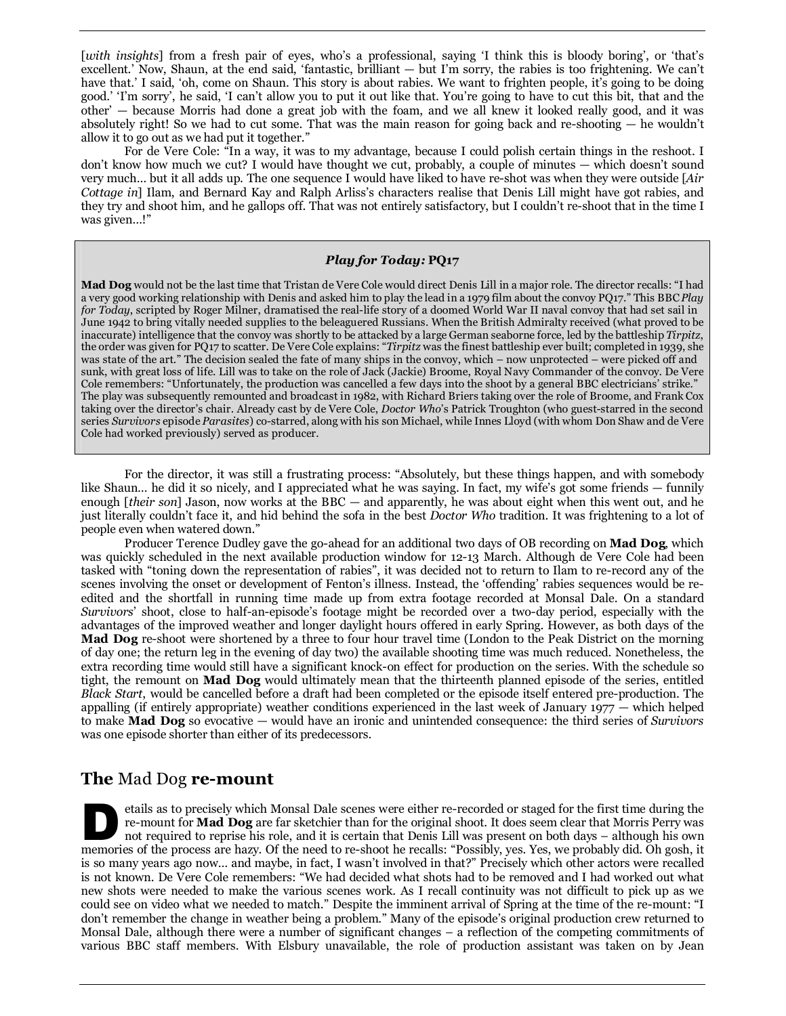[*with insights*] from a fresh pair of eyes, who's a professional, saying 'I think this is bloody boring', or 'that's excellent.' Now, Shaun, at the end said, 'fantastic, brilliant — but I'm sorry, the rabies is too frightening. We can't have that.' I said, 'oh, come on Shaun. This story is about rabies. We want to frighten people, it's going to be doing good.' 'I'm sorry', he said, 'I can't allow you to put it out like that. You're going to have to cut this bit, that and the other' — because Morris had done a great job with the foam, and we all knew it looked really good, and it was absolutely right! So we had to cut some. That was the main reason for going back and re-shooting — he wouldn't allow it to go out as we had put it together."

For de Vere Cole: "In a way, it was to my advantage, because I could polish certain things in the reshoot. I don't know how much we cut? I would have thought we cut, probably, a couple of minutes — which doesn't sound very much… but it all adds up. The one sequence I would have liked to have re-shot was when they were outside [*Air Cottage in*] Ilam, and Bernard Kay and Ralph Arliss's characters realise that Denis Lill might have got rabies, and they try and shoot him, and he gallops off. That was not entirely satisfactory, but I couldn't re-shoot that in the time I was given…!"

#### *Play for Today:* **PQ17**

**Mad Dog** would not be the last time that Tristan de Vere Cole would direct Denis Lill in a major role. The director recalls: "I had a very good working relationship with Denis and asked him to play the lead in a 1979 film about the convoy PQ17." This BBC *Play for Today*, scripted by Roger Milner, dramatised the real-life story of a doomed World War II naval convoy that had set sail in June 1942 to bring vitally needed supplies to the beleaguered Russians. When the British Admiralty received (what proved to be inaccurate) intelligence that the convoy was shortly to be attacked by a large German seaborne force, led by the battleship *Tirpitz*, the order was given for PQ17 to scatter. De Vere Cole explains: "*Tirpitz* was the finest battleship ever built; completed in 1939, she was state of the art." The decision sealed the fate of many ships in the convoy, which – now unprotected – were picked off and sunk, with great loss of life. Lill was to take on the role of Jack (Jackie) Broome, Royal Navy Commander of the convoy. De Vere Cole remembers: "Unfortunately, the production was cancelled a few days into the shoot by a general BBC electricians' strike." The play was subsequently remounted and broadcast in 1982, with Richard Briers taking over the role of Broome, and Frank Cox taking over the director's chair. Already cast by de Vere Cole, *Doctor Who*'s Patrick Troughton (who guest-starred in the second series *Survivors* episode *Parasites*) co-starred, along with his son Michael, while Innes Lloyd (with whom Don Shaw and de Vere Cole had worked previously) served as producer.

For the director, it was still a frustrating process: "Absolutely, but these things happen, and with somebody like Shaun… he did it so nicely, and I appreciated what he was saying. In fact, my wife's got some friends — funnily enough [*their son*] Jason, now works at the BBC — and apparently, he was about eight when this went out, and he just literally couldn't face it, and hid behind the sofa in the best *Doctor Who* tradition. It was frightening to a lot of people even when watered down."

Producer Terence Dudley gave the go-ahead for an additional two days of OB recording on **Mad Dog**, which was quickly scheduled in the next available production window for 12-13 March. Although de Vere Cole had been tasked with "toning down the representation of rabies", it was decided not to return to Ilam to re-record any of the scenes involving the onset or development of Fenton's illness. Instead, the 'offending' rabies sequences would be reedited and the shortfall in running time made up from extra footage recorded at Monsal Dale. On a standard *Survivors*' shoot, close to half-an-episode's footage might be recorded over a two-day period, especially with the advantages of the improved weather and longer daylight hours offered in early Spring. However, as both days of the **Mad Dog** re-shoot were shortened by a three to four hour travel time (London to the Peak District on the morning of day one; the return leg in the evening of day two) the available shooting time was much reduced. Nonetheless, the extra recording time would still have a significant knock-on effect for production on the series. With the schedule so tight, the remount on **Mad Dog** would ultimately mean that the thirteenth planned episode of the series, entitled *Black Start*, would be cancelled before a draft had been completed or the episode itself entered pre-production. The appalling (if entirely appropriate) weather conditions experienced in the last week of January  $1977 -$  which helped to make **Mad Dog** so evocative — would have an ironic and unintended consequence: the third series of *Survivors*  was one episode shorter than either of its predecessors.

#### **The** Mad Dog **re-mount**

etails as to precisely which Monsal Dale scenes were either re-recorded or staged for the first time during the re-mount for **Mad Dog** are far sketchier than for the original shoot. It does seem clear that Morris Perry was not required to reprise his role, and it is certain that Denis Lill was present on both days – although his own etails as to precisely which Monsal Dale scenes were either re-recorded or staged for the first time during the re-mount for **Mad Dog** are far sketchier than for the original shoot. It does seem clear that Morris Perry was is so many years ago now… and maybe, in fact, I wasn't involved in that?" Precisely which other actors were recalled is not known. De Vere Cole remembers: "We had decided what shots had to be removed and I had worked out what new shots were needed to make the various scenes work. As I recall continuity was not difficult to pick up as we could see on video what we needed to match." Despite the imminent arrival of Spring at the time of the re-mount: "I don't remember the change in weather being a problem." Many of the episode's original production crew returned to Monsal Dale, although there were a number of significant changes – a reflection of the competing commitments of various BBC staff members. With Elsbury unavailable, the role of production assistant was taken on by Jean